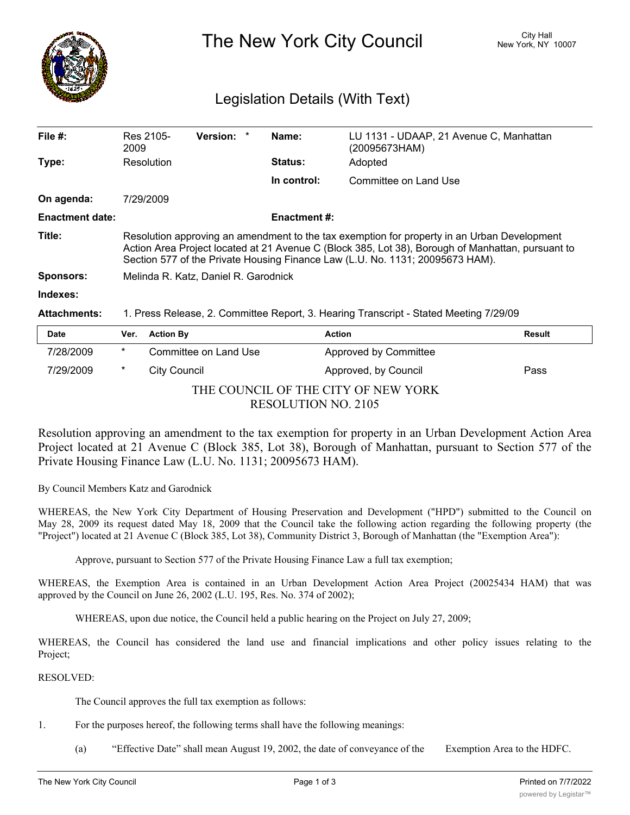

## The New York City Council New York, NY 10007

## Legislation Details (With Text)

| File $#$ :             | Res 2105-<br>2009                                                                                                                                                                                                                                                                 | <b>Version:</b> |  | Name:               | LU 1131 - UDAAP, 21 Avenue C, Manhattan<br>(20095673HAM) |  |
|------------------------|-----------------------------------------------------------------------------------------------------------------------------------------------------------------------------------------------------------------------------------------------------------------------------------|-----------------|--|---------------------|----------------------------------------------------------|--|
| Type:                  | Resolution                                                                                                                                                                                                                                                                        |                 |  | <b>Status:</b>      | Adopted                                                  |  |
|                        |                                                                                                                                                                                                                                                                                   |                 |  | In control:         | Committee on Land Use                                    |  |
| On agenda:             | 7/29/2009                                                                                                                                                                                                                                                                         |                 |  |                     |                                                          |  |
| <b>Enactment date:</b> |                                                                                                                                                                                                                                                                                   |                 |  | <b>Enactment #:</b> |                                                          |  |
| Title:                 | Resolution approving an amendment to the tax exemption for property in an Urban Development<br>Action Area Project located at 21 Avenue C (Block 385, Lot 38), Borough of Manhattan, pursuant to<br>Section 577 of the Private Housing Finance Law (L.U. No. 1131; 20095673 HAM). |                 |  |                     |                                                          |  |
| <b>Sponsors:</b>       | Melinda R. Katz, Daniel R. Garodnick                                                                                                                                                                                                                                              |                 |  |                     |                                                          |  |
| Indexes:               |                                                                                                                                                                                                                                                                                   |                 |  |                     |                                                          |  |
| <b>Attachments:</b>    | 1. Press Release, 2. Committee Report, 3. Hearing Transcript - Stated Meeting 7/29/09                                                                                                                                                                                             |                 |  |                     |                                                          |  |

| <b>Date</b>                         | Ver.                       | <b>Action By</b>      | <b>Action</b>                | Result |  |  |  |  |
|-------------------------------------|----------------------------|-----------------------|------------------------------|--------|--|--|--|--|
| 7/28/2009                           | *                          | Committee on Land Use | <b>Approved by Committee</b> |        |  |  |  |  |
| 7/29/2009                           | *                          | City Council          | Approved, by Council         | Pass   |  |  |  |  |
| THE COUNCIL OF THE CITY OF NEW YORK |                            |                       |                              |        |  |  |  |  |
|                                     | <b>RESOLUTION NO. 2105</b> |                       |                              |        |  |  |  |  |

Resolution approving an amendment to the tax exemption for property in an Urban Development Action Area Project located at 21 Avenue C (Block 385, Lot 38), Borough of Manhattan, pursuant to Section 577 of the Private Housing Finance Law (L.U. No. 1131; 20095673 HAM).

By Council Members Katz and Garodnick

WHEREAS, the New York City Department of Housing Preservation and Development ("HPD") submitted to the Council on May 28, 2009 its request dated May 18, 2009 that the Council take the following action regarding the following property (the "Project") located at 21 Avenue C (Block 385, Lot 38), Community District 3, Borough of Manhattan (the "Exemption Area"):

Approve, pursuant to Section 577 of the Private Housing Finance Law a full tax exemption;

WHEREAS, the Exemption Area is contained in an Urban Development Action Area Project (20025434 HAM) that was approved by the Council on June 26, 2002 (L.U. 195, Res. No. 374 of 2002);

WHEREAS, upon due notice, the Council held a public hearing on the Project on July 27, 2009;

WHEREAS, the Council has considered the land use and financial implications and other policy issues relating to the Project;

## RESOLVED:

The Council approves the full tax exemption as follows:

- 1. For the purposes hereof, the following terms shall have the following meanings:
	- (a) "Effective Date" shall mean August 19, 2002, the date of conveyance of the Exemption Area to the HDFC.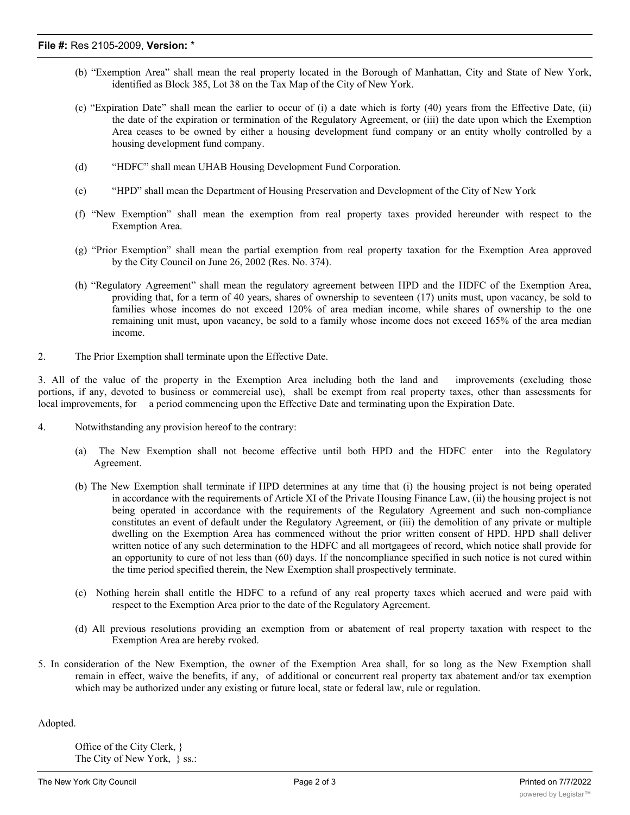- (b) "Exemption Area" shall mean the real property located in the Borough of Manhattan, City and State of New York, identified as Block 385, Lot 38 on the Tax Map of the City of New York.
- (c) "Expiration Date" shall mean the earlier to occur of (i) a date which is forty (40) years from the Effective Date, (ii) the date of the expiration or termination of the Regulatory Agreement, or (iii) the date upon which the Exemption Area ceases to be owned by either a housing development fund company or an entity wholly controlled by a housing development fund company.
- (d) "HDFC" shall mean UHAB Housing Development Fund Corporation.
- (e) "HPD" shall mean the Department of Housing Preservation and Development of the City of New York
- (f) "New Exemption" shall mean the exemption from real property taxes provided hereunder with respect to the Exemption Area.
- (g) "Prior Exemption" shall mean the partial exemption from real property taxation for the Exemption Area approved by the City Council on June 26, 2002 (Res. No. 374).
- (h) "Regulatory Agreement" shall mean the regulatory agreement between HPD and the HDFC of the Exemption Area, providing that, for a term of 40 years, shares of ownership to seventeen (17) units must, upon vacancy, be sold to families whose incomes do not exceed 120% of area median income, while shares of ownership to the one remaining unit must, upon vacancy, be sold to a family whose income does not exceed 165% of the area median income.
- 2. The Prior Exemption shall terminate upon the Effective Date.

3. All of the value of the property in the Exemption Area including both the land and improvements (excluding those portions, if any, devoted to business or commercial use), shall be exempt from real property taxes, other than assessments for local improvements, for a period commencing upon the Effective Date and terminating upon the Expiration Date.

- 4. Notwithstanding any provision hereof to the contrary:
	- (a) The New Exemption shall not become effective until both HPD and the HDFC enter into the Regulatory Agreement.
	- (b) The New Exemption shall terminate if HPD determines at any time that (i) the housing project is not being operated in accordance with the requirements of Article XI of the Private Housing Finance Law, (ii) the housing project is not being operated in accordance with the requirements of the Regulatory Agreement and such non-compliance constitutes an event of default under the Regulatory Agreement, or (iii) the demolition of any private or multiple dwelling on the Exemption Area has commenced without the prior written consent of HPD. HPD shall deliver written notice of any such determination to the HDFC and all mortgagees of record, which notice shall provide for an opportunity to cure of not less than (60) days. If the noncompliance specified in such notice is not cured within the time period specified therein, the New Exemption shall prospectively terminate.
	- (c) Nothing herein shall entitle the HDFC to a refund of any real property taxes which accrued and were paid with respect to the Exemption Area prior to the date of the Regulatory Agreement.
	- (d) All previous resolutions providing an exemption from or abatement of real property taxation with respect to the Exemption Area are hereby rvoked.
- 5. In consideration of the New Exemption, the owner of the Exemption Area shall, for so long as the New Exemption shall remain in effect, waive the benefits, if any, of additional or concurrent real property tax abatement and/or tax exemption which may be authorized under any existing or future local, state or federal law, rule or regulation.

Adopted.

Office of the City Clerk, } The City of New York, } ss.: